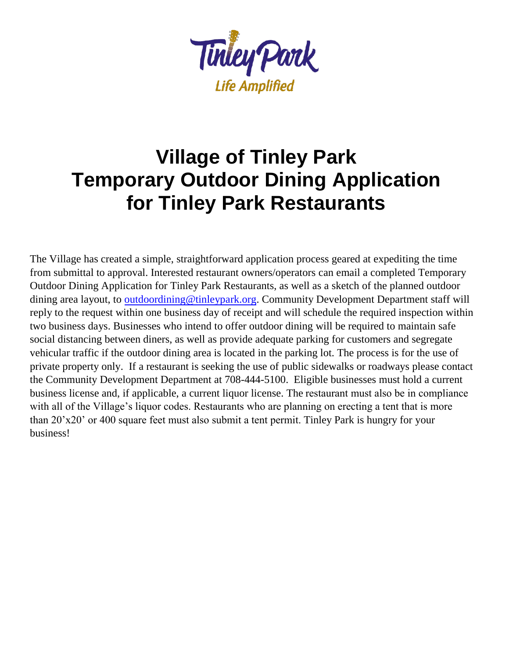

# **Village of Tinley Park Temporary Outdoor Dining Application for Tinley Park Restaurants**

The Village has created a simple, straightforward application process geared at expediting the time from submittal to approval. Interested restaurant owners/operators can email a completed Temporary Outdoor Dining Application for Tinley Park Restaurants, as well as a sketch of the planned outdoor dining area layout, t[o outdoordining@tinleypark.org.](mailto:outdoordining@tinleypark.org) Community Development Department staff will reply to the request within one business day of receipt and will schedule the required inspection within two business days. Businesses who intend to offer outdoor dining will be required to maintain safe social distancing between diners, as well as provide adequate parking for customers and segregate vehicular traffic if the outdoor dining area is located in the parking lot. The process is for the use of private property only. If a restaurant is seeking the use of public sidewalks or roadways please contact the Community Development Department at 708-444-5100. Eligible businesses must hold a current business license and, if applicable, a current liquor license. The restaurant must also be in compliance with all of the Village's liquor codes. Restaurants who are planning on erecting a tent that is more than 20'x20' or 400 square feet must also submit a tent permit. Tinley Park is hungry for your business!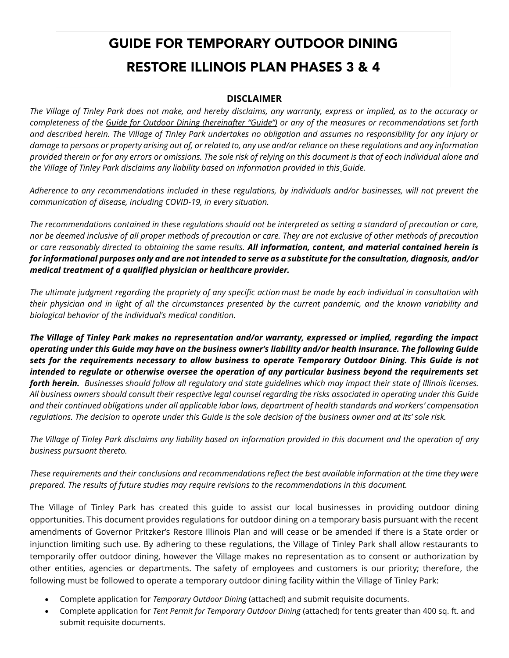# GUIDE FOR TEMPORARY OUTDOOR DINING RESTORE ILLINOIS PLAN PHASES 3 & 4

#### **DISCLAIMER**

*The Village of Tinley Park does not make, and hereby disclaims, any warranty, express or implied, as to the accuracy or completeness of the Guide for Outdoor Dining (hereinafter "Guide") or any of the measures or recommendations set forth and described herein. The Village of Tinley Park undertakes no obligation and assumes no responsibility for any injury or damage to persons or property arising out of, or related to, any use and/or reliance on these regulations and any information provided therein or for any errors or omissions. The sole risk of relying on this document is that of each individual alone and the Village of Tinley Park disclaims any liability based on information provided in this Guide.*

*Adherence to any recommendations included in these regulations, by individuals and/or businesses, will not prevent the communication of disease, including COVID-19, in every situation.* 

*The recommendations contained in these regulations should not be interpreted as setting a standard of precaution or care, nor be deemed inclusive of all proper methods of precaution or care. They are not exclusive of other methods of precaution or care reasonably directed to obtaining the same results. All information, content, and material contained herein is for informational purposes only and are not intended to serve as a substitute for the consultation, diagnosis, and/or medical treatment of a qualified physician or healthcare provider.*

*The ultimate judgment regarding the propriety of any specific action must be made by each individual in consultation with their physician and in light of all the circumstances presented by the current pandemic, and the known variability and biological behavior of the individual's medical condition.*

*The Village of Tinley Park makes no representation and/or warranty, expressed or implied, regarding the impact operating under this Guide may have on the business owner's liability and/or health insurance. The following Guide sets for the requirements necessary to allow business to operate Temporary Outdoor Dining. This Guide is not intended to regulate or otherwise oversee the operation of any particular business beyond the requirements set forth herein. Businesses should follow all regulatory and state guidelines which may impact their state of Illinois licenses. All business owners should consult their respective legal counsel regarding the risks associated in operating under this Guide and their continued obligations under all applicable labor laws, department of health standards and workers' compensation regulations. The decision to operate under this Guide is the sole decision of the business owner and at its' sole risk.* 

*The Village of Tinley Park disclaims any liability based on information provided in this document and the operation of any business pursuant thereto.*

*These requirements and their conclusions and recommendations reflect the best available information at the time they were prepared. The results of future studies may require revisions to the recommendations in this document.*

The Village of Tinley Park has created this guide to assist our local businesses in providing outdoor dining opportunities. This document provides regulations for outdoor dining on a temporary basis pursuant with the recent amendments of Governor Pritzker's Restore Illinois Plan and will cease or be amended if there is a State order or injunction limiting such use. By adhering to these regulations, the Village of Tinley Park shall allow restaurants to temporarily offer outdoor dining, however the Village makes no representation as to consent or authorization by other entities, agencies or departments. The safety of employees and customers is our priority; therefore, the following must be followed to operate a temporary outdoor dining facility within the Village of Tinley Park:

- Complete application for *Temporary Outdoor Dining* (attached) and submit requisite documents.
- Complete application for *Tent Permit for Temporary Outdoor Dining* (attached) for tents greater than 400 sq. ft. and submit requisite documents.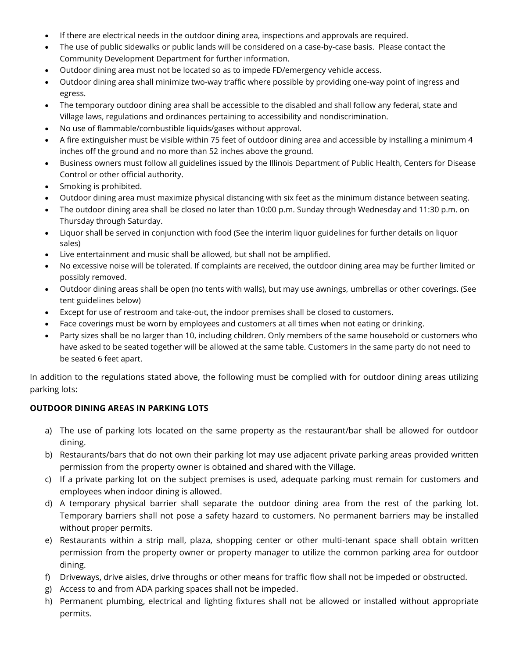- If there are electrical needs in the outdoor dining area, inspections and approvals are required.
- The use of public sidewalks or public lands will be considered on a case-by-case basis. Please contact the Community Development Department for further information.
- Outdoor dining area must not be located so as to impede FD/emergency vehicle access.
- Outdoor dining area shall minimize two-way traffic where possible by providing one-way point of ingress and egress.
- The temporary outdoor dining area shall be accessible to the disabled and shall follow any federal, state and Village laws, regulations and ordinances pertaining to accessibility and nondiscrimination.
- No use of flammable/combustible liquids/gases without approval.
- A fire extinguisher must be visible within 75 feet of outdoor dining area and accessible by installing a minimum 4 inches off the ground and no more than 52 inches above the ground.
- Business owners must follow all guidelines issued by the Illinois Department of Public Health, Centers for Disease Control or other official authority.
- Smoking is prohibited.
- Outdoor dining area must maximize physical distancing with six feet as the minimum distance between seating.
- The outdoor dining area shall be closed no later than 10:00 p.m. Sunday through Wednesday and 11:30 p.m. on Thursday through Saturday.
- Liquor shall be served in conjunction with food (See the interim liquor guidelines for further details on liquor sales)
- Live entertainment and music shall be allowed, but shall not be amplified.
- No excessive noise will be tolerated. If complaints are received, the outdoor dining area may be further limited or possibly removed.
- Outdoor dining areas shall be open (no tents with walls), but may use awnings, umbrellas or other coverings. (See tent guidelines below)
- Except for use of restroom and take-out, the indoor premises shall be closed to customers.
- Face coverings must be worn by employees and customers at all times when not eating or drinking.
- Party sizes shall be no larger than 10, including children. Only members of the same household or customers who have asked to be seated together will be allowed at the same table. Customers in the same party do not need to be seated 6 feet apart.

In addition to the regulations stated above, the following must be complied with for outdoor dining areas utilizing parking lots:

#### **OUTDOOR DINING AREAS IN PARKING LOTS**

- a) The use of parking lots located on the same property as the restaurant/bar shall be allowed for outdoor dining.
- b) Restaurants/bars that do not own their parking lot may use adjacent private parking areas provided written permission from the property owner is obtained and shared with the Village.
- c) If a private parking lot on the subject premises is used, adequate parking must remain for customers and employees when indoor dining is allowed.
- d) A temporary physical barrier shall separate the outdoor dining area from the rest of the parking lot. Temporary barriers shall not pose a safety hazard to customers. No permanent barriers may be installed without proper permits.
- e) Restaurants within a strip mall, plaza, shopping center or other multi-tenant space shall obtain written permission from the property owner or property manager to utilize the common parking area for outdoor dining.
- f) Driveways, drive aisles, drive throughs or other means for traffic flow shall not be impeded or obstructed.
- g) Access to and from ADA parking spaces shall not be impeded.
- h) Permanent plumbing, electrical and lighting fixtures shall not be allowed or installed without appropriate permits.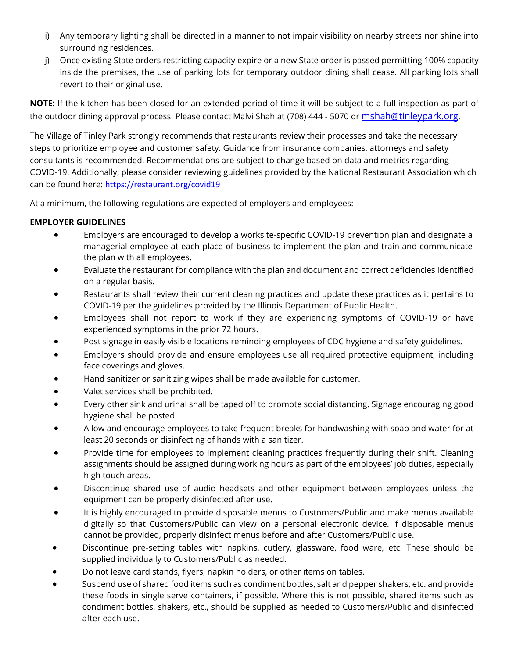- i) Any temporary lighting shall be directed in a manner to not impair visibility on nearby streets nor shine into surrounding residences.
- j) Once existing State orders restricting capacity expire or a new State order is passed permitting 100% capacity inside the premises, the use of parking lots for temporary outdoor dining shall cease. All parking lots shall revert to their original use.

**NOTE:** If the kitchen has been closed for an extended period of time it will be subject to a full inspection as part of the outdoor dining approval process. Please contact Malvi Shah at (708) 444 - 5070 or [mshah@tinleypark.org.](mailto:mshah@tinleypark.org)

The Village of Tinley Park strongly recommends that restaurants review their processes and take the necessary steps to prioritize employee and customer safety. Guidance from insurance companies, attorneys and safety consultants is recommended. Recommendations are subject to change based on data and metrics regarding COVID-19. Additionally, please consider reviewing guidelines provided by the National Restaurant Association which can be found here: <https://restaurant.org/covid19>

At a minimum, the following regulations are expected of employers and employees:

#### **EMPLOYER GUIDELINES**

- Employers are encouraged to develop a worksite-specific COVID-19 prevention plan and designate a managerial employee at each place of business to implement the plan and train and communicate the plan with all employees.
- Evaluate the restaurant for compliance with the plan and document and correct deficiencies identified on a regular basis.
- Restaurants shall review their current cleaning practices and update these practices as it pertains to COVID-19 per the guidelines provided by the Illinois Department of Public Health.
- Employees shall not report to work if they are experiencing symptoms of COVID-19 or have experienced symptoms in the prior 72 hours.
- Post signage in easily visible locations reminding employees of CDC hygiene and safety guidelines.
- Employers should provide and ensure employees use all required protective equipment, including face coverings and gloves.
- Hand sanitizer or sanitizing wipes shall be made available for customer.
- Valet services shall be prohibited.
- Every other sink and urinal shall be taped off to promote social distancing. Signage encouraging good hygiene shall be posted.
- Allow and encourage employees to take frequent breaks for handwashing with soap and water for at least 20 seconds or disinfecting of hands with a sanitizer.
- Provide time for employees to implement cleaning practices frequently during their shift. Cleaning assignments should be assigned during working hours as part of the employees' job duties, especially high touch areas.
- Discontinue shared use of audio headsets and other equipment between employees unless the equipment can be properly disinfected after use.
- It is highly encouraged to provide disposable menus to Customers/Public and make menus available digitally so that Customers/Public can view on a personal electronic device. If disposable menus cannot be provided, properly disinfect menus before and after Customers/Public use.
- Discontinue pre-setting tables with napkins, cutlery, glassware, food ware, etc. These should be supplied individually to Customers/Public as needed.
- Do not leave card stands, flyers, napkin holders, or other items on tables.
- Suspend use of shared food items such as condiment bottles, salt and pepper shakers, etc. and provide these foods in single serve containers, if possible. Where this is not possible, shared items such as condiment bottles, shakers, etc., should be supplied as needed to Customers/Public and disinfected after each use.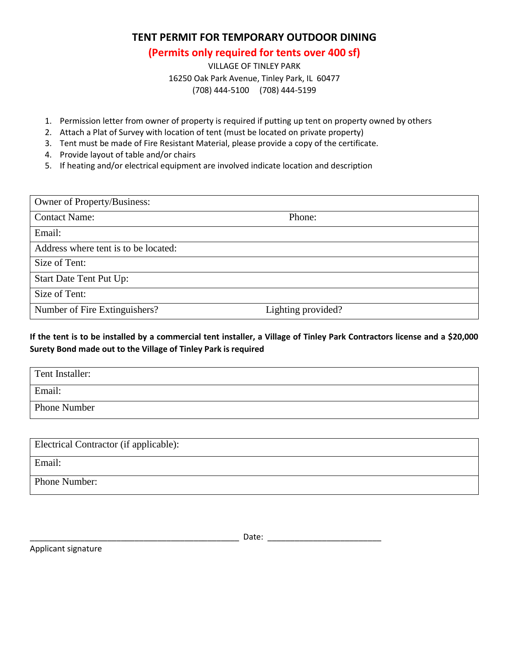#### **TENT PERMIT FOR TEMPORARY OUTDOOR DINING**

#### **(Permits only required for tents over 400 sf)**

VILLAGE OF TINLEY PARK 16250 Oak Park Avenue, Tinley Park, IL 60477 (708) 444-5100 (708) 444-5199

- 1. Permission letter from owner of property is required if putting up tent on property owned by others
- 2. Attach a Plat of Survey with location of tent (must be located on private property)
- 3. Tent must be made of Fire Resistant Material, please provide a copy of the certificate.
- 4. Provide layout of table and/or chairs
- 5. If heating and/or electrical equipment are involved indicate location and description

| Owner of Property/Business:          |                    |  |
|--------------------------------------|--------------------|--|
| <b>Contact Name:</b>                 | Phone:             |  |
| Email:                               |                    |  |
| Address where tent is to be located: |                    |  |
| Size of Tent:                        |                    |  |
| <b>Start Date Tent Put Up:</b>       |                    |  |
| Size of Tent:                        |                    |  |
| Number of Fire Extinguishers?        | Lighting provided? |  |

**If the tent is to be installed by a commercial tent installer, a Village of Tinley Park Contractors license and a \$20,000 Surety Bond made out to the Village of Tinley Park is required**

| Tent Installer: |  |
|-----------------|--|
| Email:          |  |
| Phone Number    |  |

| Electrical Contractor (if applicable): |
|----------------------------------------|
| Email:                                 |
| Phone Number:                          |

Applicant signature

 $Date:$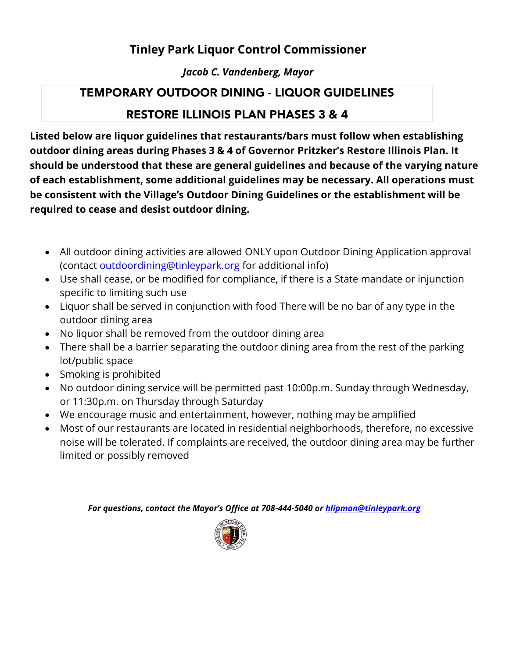## **Tinley Park Liquor Control Commissioner**

### *Jacob C. Vandenberg, Mayor*

# TEMPORARY OUTDOOR DINING - LIQUOR GUIDELINES

## RESTORE ILLINOIS PLAN PHASES 3 & 4

**Listed below are liquor guidelines that restaurants/bars must follow when establishing outdoor dining areas during Phases 3 & 4 of Governor Pritzker's Restore Illinois Plan. It should be understood that these are general guidelines and because of the varying nature of each establishment, some additional guidelines may be necessary. All operations must be consistent with the Village's Outdoor Dining Guidelines or the establishment will be required to cease and desist outdoor dining.** 

- All outdoor dining activities are allowed ONLY upon Outdoor Dining Application approval (contact [outdoordining@tinleypark.org](mailto:outdoordining@tinleypark.org) for additional info)
- Use shall cease, or be modified for compliance, if there is a State mandate or injunction specific to limiting such use
- Liquor shall be served in conjunction with food There will be no bar of any type in the outdoor dining area
- No liquor shall be removed from the outdoor dining area
- There shall be a barrier separating the outdoor dining area from the rest of the parking lot/public space
- Smoking is prohibited
- No outdoor dining service will be permitted past 10:00p.m. Sunday through Wednesday, or 11:30p.m. on Thursday through Saturday
- We encourage music and entertainment, however, nothing may be amplified
- Most of our restaurants are located in residential neighborhoods, therefore, no excessive noise will be tolerated. If complaints are received, the outdoor dining area may be further limited or possibly removed

*For questions, contact the Mayor's Office at 708-444-5040 o[r hlipman@tinleypark.org](mailto:hlipman@tinleypark.org)*